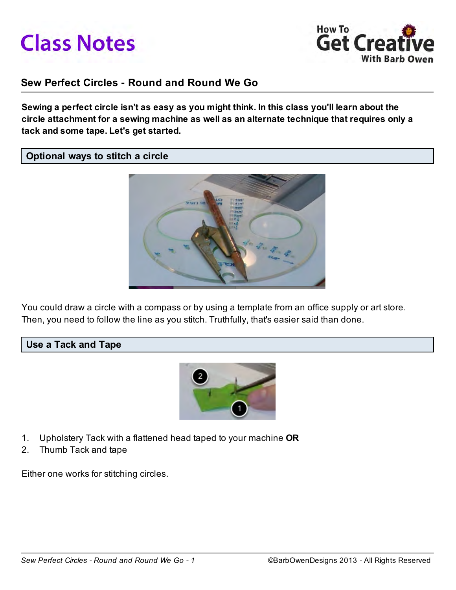



# Sew Perfect Circles - Round and Round We Go

Sewing a perfect circle isn't as easy as you might think. In this class you'll learn about the circle attachment for a sewing machine as well as an alternate technique that requires only a tack and some tape. Let's get started.

#### Optional ways to stitch a circle



You could draw a circle with a compass or by using a template from an office supply or art store. Then, you need to follow the line as you stitch. Truthfully, that's easier said than done.

#### Use a Tack and Tape



- 1. Upholstery Tack with a flattened head taped to your machine OR
- 2. Thumb Tack and tape

Either one works for stitching circles.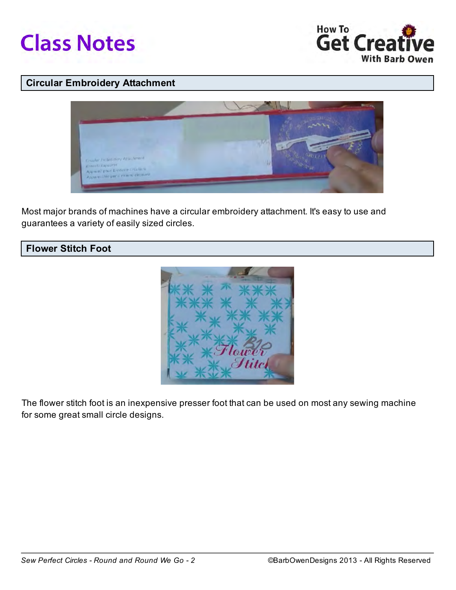



# Circular Embroidery Attachment



Most major brands of machines have a circular embroidery attachment. It's easy to use and guarantees a variety of easily sized circles.





The flower stitch foot is an inexpensive presser foot that can be used on most any sewing machine for some great small circle designs.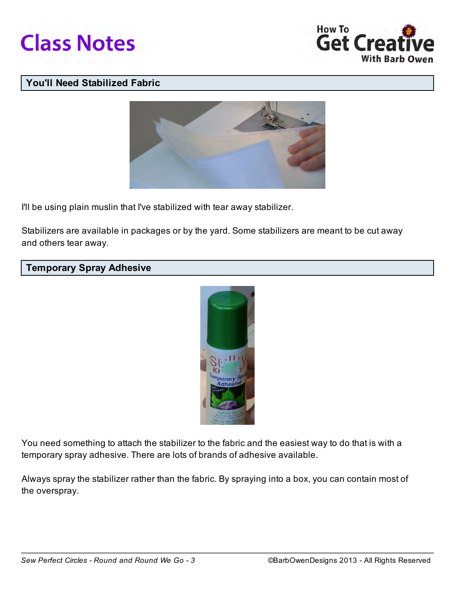



# You'll Need Stabilized Fabric



I'll be using plain muslin that I've stabilized with tear away stabilizer.

Stabilizers are available in packages or by the yard. Some stabilizers are meant to be cut away and others tear away.

# Temporary Spray Adhesive



You need something to attach the stabilizer to the fabric and the easiest way to do that is with a temporary spray adhesive. There are lots of brands of adhesive available.

Always spray the stabilizer rather than the fabric. By spraying into a box, you can contain most of the overspray.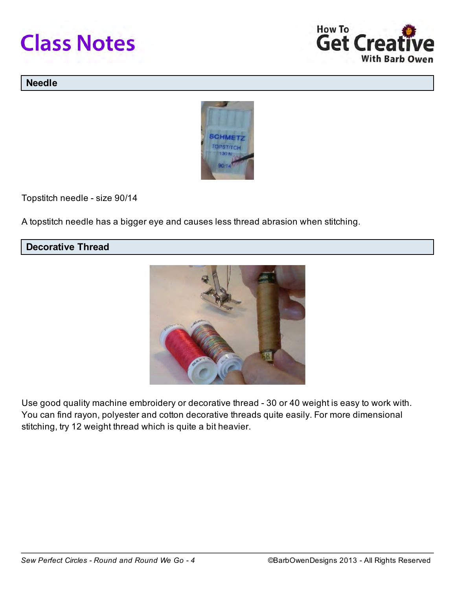



#### Needle



Topstitch needle - size 90/14

A topstitch needle has a bigger eye and causes less thread abrasion when stitching.

# Decorative Thread



Use good quality machine embroidery or decorative thread - 30 or 40 weight is easy to work with. You can find rayon, polyester and cotton decorative threads quite easily. For more dimensional stitching, try 12 weight thread which is quite a bit heavier.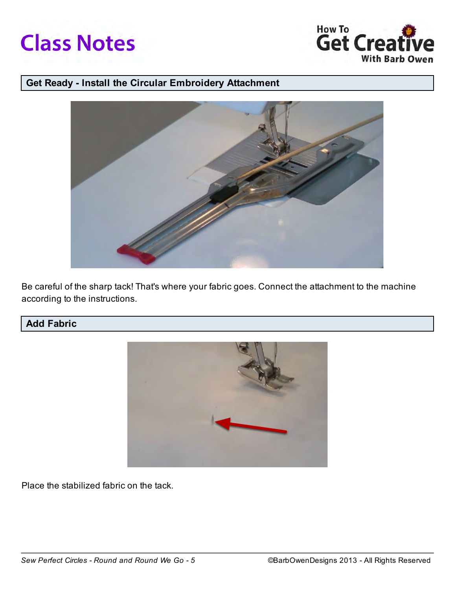



# Get Ready - Install the Circular Embroidery Attachment



Be careful of the sharp tack! That's where your fabric goes. Connect the attachment to the machine according to the instructions.

# Add Fabric



Place the stabilized fabric on the tack.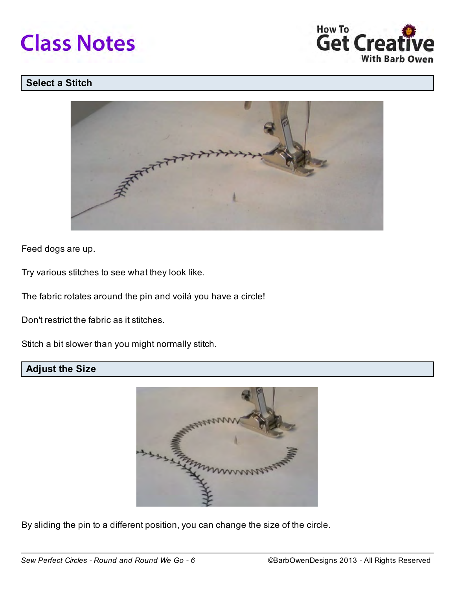



# Select a Stitch



Feed dogs are up.

Try various stitches to see what they look like.

The fabric rotates around the pin and voilá you have a circle!

Don't restrict the fabric as it stitches.

Stitch a bit slower than you might normally stitch.

# Adjust the Size



By sliding the pin to a different position, you can change the size of the circle.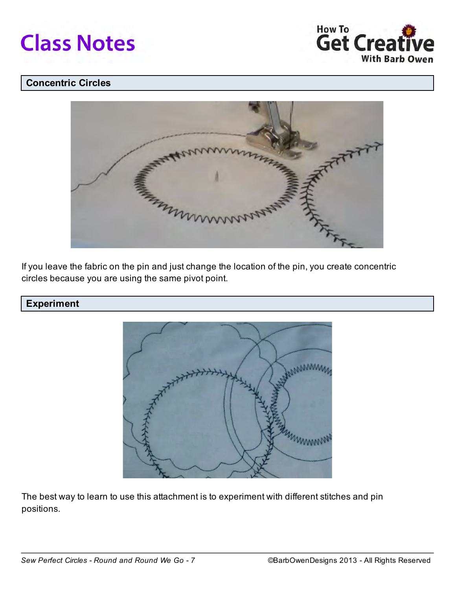



# Concentric Circles



If you leave the fabric on the pin and just change the location of the pin, you create concentric circles because you are using the same pivot point.

#### Experiment



The best way to learn to use this attachment is to experiment with different stitches and pin positions.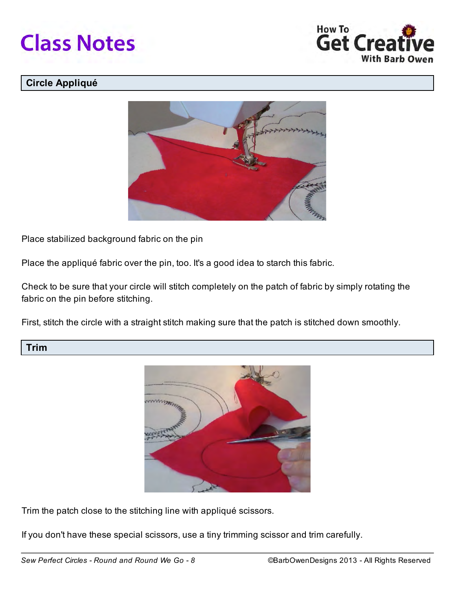



# Circle Appliqué



Place stabilized background fabric on the pin

Place the appliqué fabric over the pin, too. It's a good idea to starch this fabric.

Check to be sure that your circle will stitch completely on the patch of fabric by simply rotating the fabric on the pin before stitching.

First, stitch the circle with a straight stitch making sure that the patch is stitched down smoothly.

#### Trim



Trim the patch close to the stitching line with appliqué scissors.

If you don't have these special scissors, use a tiny trimming scissor and trim carefully.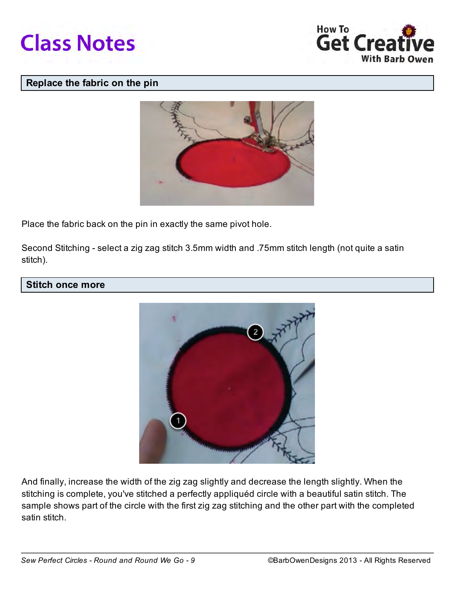



#### Replace the fabric on the pin



Place the fabric back on the pin in exactly the same pivot hole.

Second Stitching - select a zig zag stitch 3.5mm width and .75mm stitch length (not quite a satin stitch).

#### Stitch once more



And finally, increase the width of the zig zag slightly and decrease the length slightly. When the stitching is complete, you've stitched a perfectly appliquéd circle with a beautiful satin stitch. The sample shows part of the circle with the first zig zag stitching and the other part with the completed satin stitch.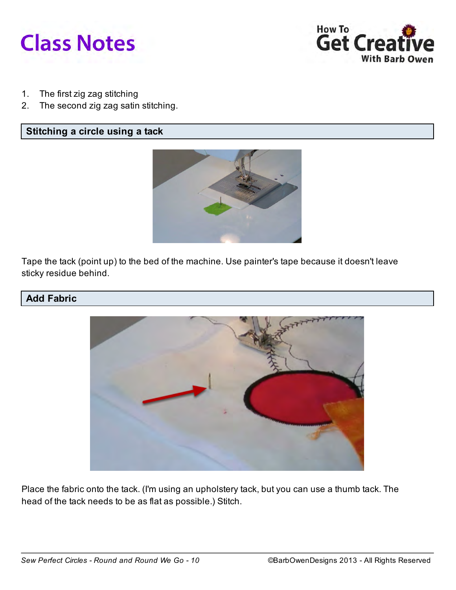



- 1. The first zig zag stitching
- 2. The second zig zag satin stitching.

#### Stitching a circle using a tack



Tape the tack (point up) to the bed of the machine. Use painter's tape because it doesn't leave sticky residue behind.

#### Add Fabric



Place the fabric onto the tack. (I'm using an upholstery tack, but you can use a thumb tack. The head of the tack needs to be as flat as possible.) Stitch.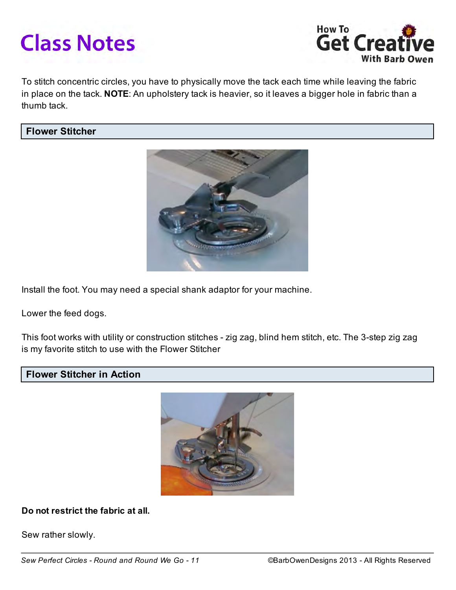# **Class Notes**



To stitch concentric circles, you have to physically move the tack each time while leaving the fabric in place on the tack. NOTE: An upholstery tack is heavier, so it leaves a bigger hole in fabric than a thumb tack.

#### Flower Stitcher



Install the foot. You may need a special shank adaptor for your machine.

Lower the feed dogs.

This foot works with utility or construction stitches - zig zag, blind hem stitch, etc. The 3-step zig zag is my favorite stitch to use with the Flower Stitcher

#### Flower Stitcher in Action



Do not restrict the fabric at all.

Sew rather slowly.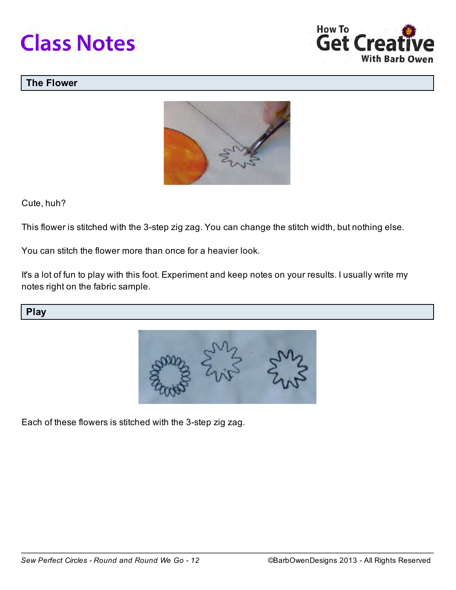



## The Flower



Cute, huh?

This flower is stitched with the 3-step zig zag. You can change the stitch width, but nothing else.

You can stitch the flower more than once for a heavier look.

It's a lot of fun to play with this foot. Experiment and keep notes on your results. I usually write my notes right on the fabric sample.

Play



Each of these flowers is stitched with the 3-step zig zag.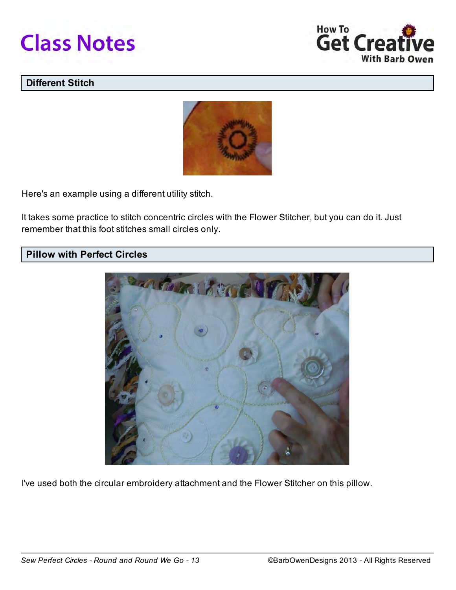



# Different Stitch



Here's an example using a different utility stitch.

It takes some practice to stitch concentric circles with the Flower Stitcher, but you can do it. Just remember that this foot stitches small circles only.

#### Pillow with Perfect Circles



I've used both the circular embroidery attachment and the Flower Stitcher on this pillow.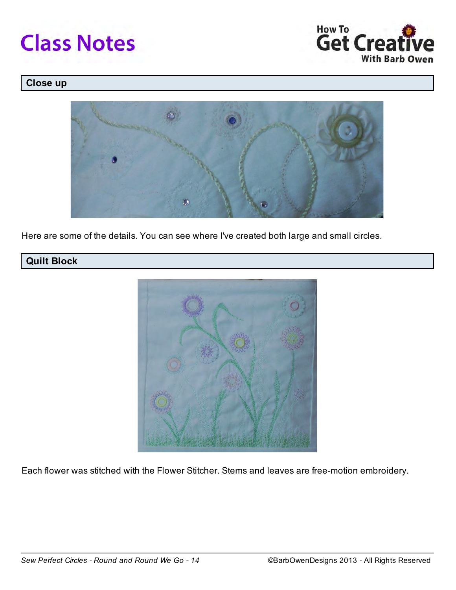



# Close up



Here are some of the details. You can see where I've created both large and small circles.

# Quilt Block



Each flower was stitched with the Flower Stitcher. Stems and leaves are free-motion embroidery.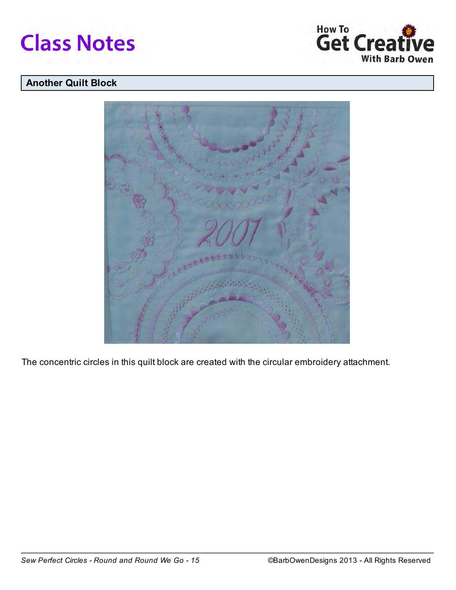



# Another Quilt Block



The concentric circles in this quilt block are created with the circular embroidery attachment.